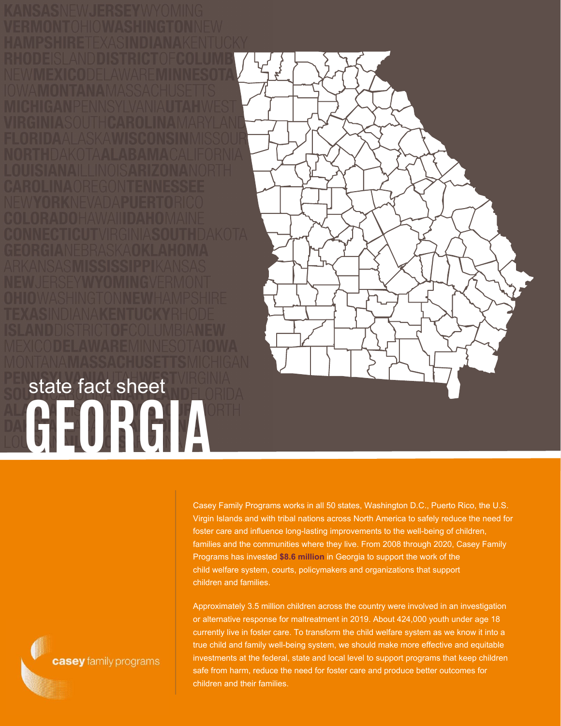

Casey Family Programs works in all 50 states, Washington D.C., Puerto Rico, the U.S. Virgin Islands and with tribal nations across North America to safely reduce the need for foster care and influence long-lasting improvements to the well-being of children, families and the communities where they live. From 2008 through 2020, Casey Family Programs has invested **\$8.6 million** in Georgia to support the work of the child welfare system, courts, policymakers and organizations that support children and families.

Approximately 3.5 million children across the country were involved in an investigation or alternative response for maltreatment in 2019. About 424,000 youth under age 18 currently live in foster care. To transform the child welfare system as we know it into a true child and family well-being system, we should make more effective and equitable investments at the federal, state and local level to support programs that keep children safe from harm, reduce the need for foster care and produce better outcomes for children and their families.

casey family programs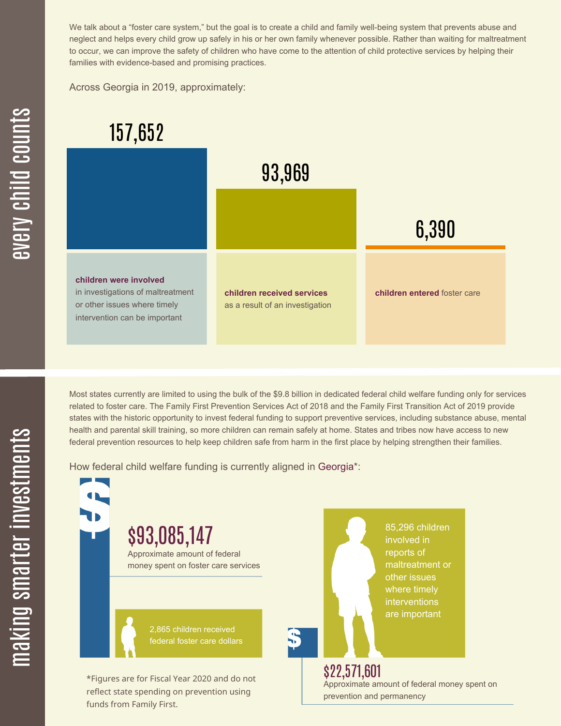We talk about a "foster care system," but the goal is to create a child and family well-being system that prevents abuse and neglect and helps every child grow up safely in his or her own family whenever possible. Rather than waiting for maltreatment to occur, we can improve the safety of children who have come to the attention of child protective services by helping their families with evidence-based and promising practices.

Across Georgia in 2019, approximately:



Most states currently are limited to using the bulk of the \$9.8 billion in dedicated federal child welfare funding only for services related to foster care. The Family First Prevention Services Act of 2018 and the Family First Transition Act of 2019 provide states with the historic opportunity to invest federal funding to support preventive services, including substance abuse, mental health and parental skill training, so more children can remain safely at home. States and tribes now have access to new federal prevention resources to help keep children safe from harm in the first place by helping strengthen their families.

How federal child welfare funding is currently aligned in Georgia\*:

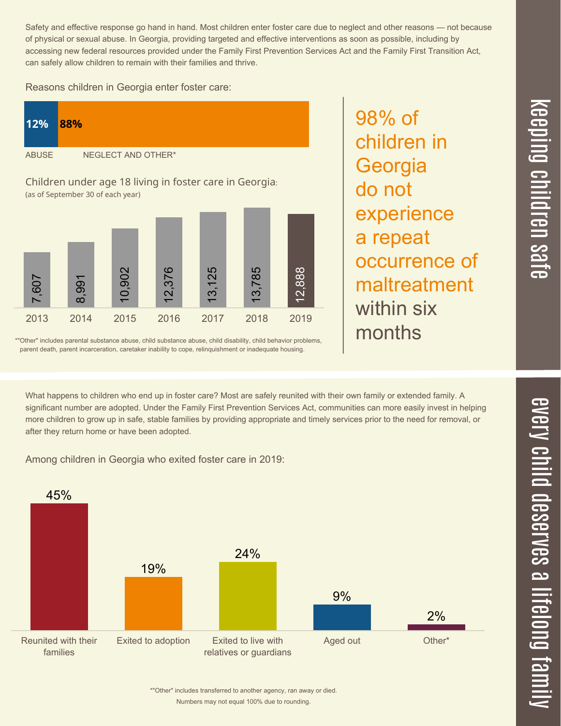$\overline{\phantom{1}}$  $\overline{\mathbf \Theta}$  $\overline{\mathbf{C}}$ <u>pin</u>  $\overline{\mathbf{C}}$  $\overline{\mathbf{C}}$  $\equiv$  $\overline{\mathbf{c}}$  $\overline{\phantom{0}}$  $\boldsymbol{\mathcal{O}}$ a  $\overrightarrow{\mathbf{e}}$ 

Safety and effective response go hand in hand. Most children enter foster care due to neglect and other reasons — not because of physical or sexual abuse. In Georgia, providing targeted and effective interventions as soon as possible, including by accessing new federal resources provided under the Family First Prevention Services Act and the Family First Transition Act, can safely allow children to remain with their families and thrive.

98% of

**Georgia** 

a repeat

within six

months

do not

children in

experience

occurrence of

maltreatment

Reasons children in Georgia enter foster care:



\*"Other" includes parental substance abuse, child substance abuse, child disability, child behavior problems, parent death, parent incarceration, caretaker inability to cope, relinquishment or inadequate housing.

What happens to children who end up in foster care? Most are safely reunited with their own family or extended family. A significant number are adopted. Under the Family First Prevention Services Act, communities can more easily invest in helping more children to grow up in safe, stable families by providing appropriate and timely services prior to the need for removal, or after they return home or have been adopted.

Among children in Georgia who exited foster care in 2019: